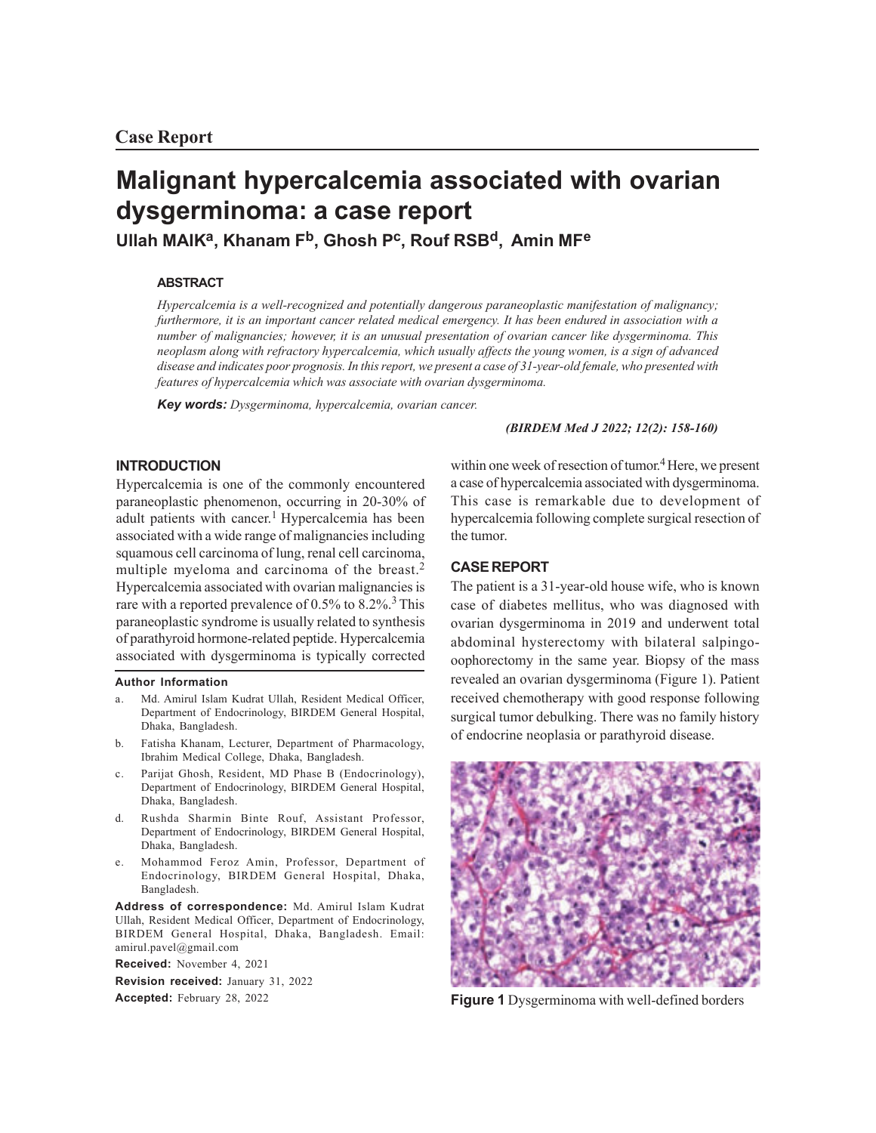# **Malignant hypercalcemia associated with ovarian dysgerminoma: a case report**

**Ullah MAIK<sup>a</sup> , Khanam Fb, Ghosh P<sup>c</sup> , Rouf RSBd, Amin MF<sup>e</sup>**

## **ABSTRACT**

*Hypercalcemia is a well-recognized and potentially dangerous paraneoplastic manifestation of malignancy; furthermore, it is an important cancer related medical emergency. It has been endured in association with a number of malignancies; however, it is an unusual presentation of ovarian cancer like dysgerminoma. This neoplasm along with refractory hypercalcemia, which usually affects the young women, is a sign of advanced disease and indicates poor prognosis. In this report, we present a case of 31-year-old female, who presented with features of hypercalcemia which was associate with ovarian dysgerminoma.*

*Key words: Dysgerminoma, hypercalcemia, ovarian cancer.*

#### *(BIRDEM Med J 2022; 12(2): 158-160)*

## **INTRODUCTION**

Hypercalcemia is one of the commonly encountered paraneoplastic phenomenon, occurring in 20-30% of adult patients with cancer.<sup>1</sup> Hypercalcemia has been associated with a wide range of malignancies including squamous cell carcinoma of lung, renal cell carcinoma, multiple myeloma and carcinoma of the breast.<sup>2</sup> Hypercalcemia associated with ovarian malignancies is rare with a reported prevalence of  $0.5\%$  to  $8.2\%$ .<sup>3</sup> This paraneoplastic syndrome is usually related to synthesis of parathyroid hormone-related peptide. Hypercalcemia associated with dysgerminoma is typically corrected

#### **Author Information**

- a. Md. Amirul Islam Kudrat Ullah, Resident Medical Officer, Department of Endocrinology, BIRDEM General Hospital, Dhaka, Bangladesh.
- b. Fatisha Khanam, Lecturer, Department of Pharmacology, Ibrahim Medical College, Dhaka, Bangladesh.
- c. Parijat Ghosh, Resident, MD Phase B (Endocrinology), Department of Endocrinology, BIRDEM General Hospital, Dhaka, Bangladesh.
- d. Rushda Sharmin Binte Rouf, Assistant Professor, Department of Endocrinology, BIRDEM General Hospital, Dhaka, Bangladesh.
- e. Mohammod Feroz Amin, Professor, Department of Endocrinology, BIRDEM General Hospital, Dhaka, Bangladesh.

**Address of correspondence:** Md. Amirul Islam Kudrat Ullah, Resident Medical Officer, Department of Endocrinology, BIRDEM General Hospital, Dhaka, Bangladesh. Email: amirul.pavel@gmail.com

**Received:** November 4, 2021 **Revision received:** January 31, 2022 **Accepted:** February 28, 2022

within one week of resection of tumor. <sup>4</sup>Here, we present a case of hypercalcemia associated with dysgerminoma. This case is remarkable due to development of hypercalcemia following complete surgical resection of the tumor.

### **CASE REPORT**

The patient is a 31-year-old house wife, who is known case of diabetes mellitus, who was diagnosed with ovarian dysgerminoma in 2019 and underwent total abdominal hysterectomy with bilateral salpingooophorectomy in the same year. Biopsy of the mass revealed an ovarian dysgerminoma (Figure 1). Patient received chemotherapy with good response following surgical tumor debulking. There was no family history of endocrine neoplasia or parathyroid disease.



**Figure 1** Dysgerminoma with well-defined borders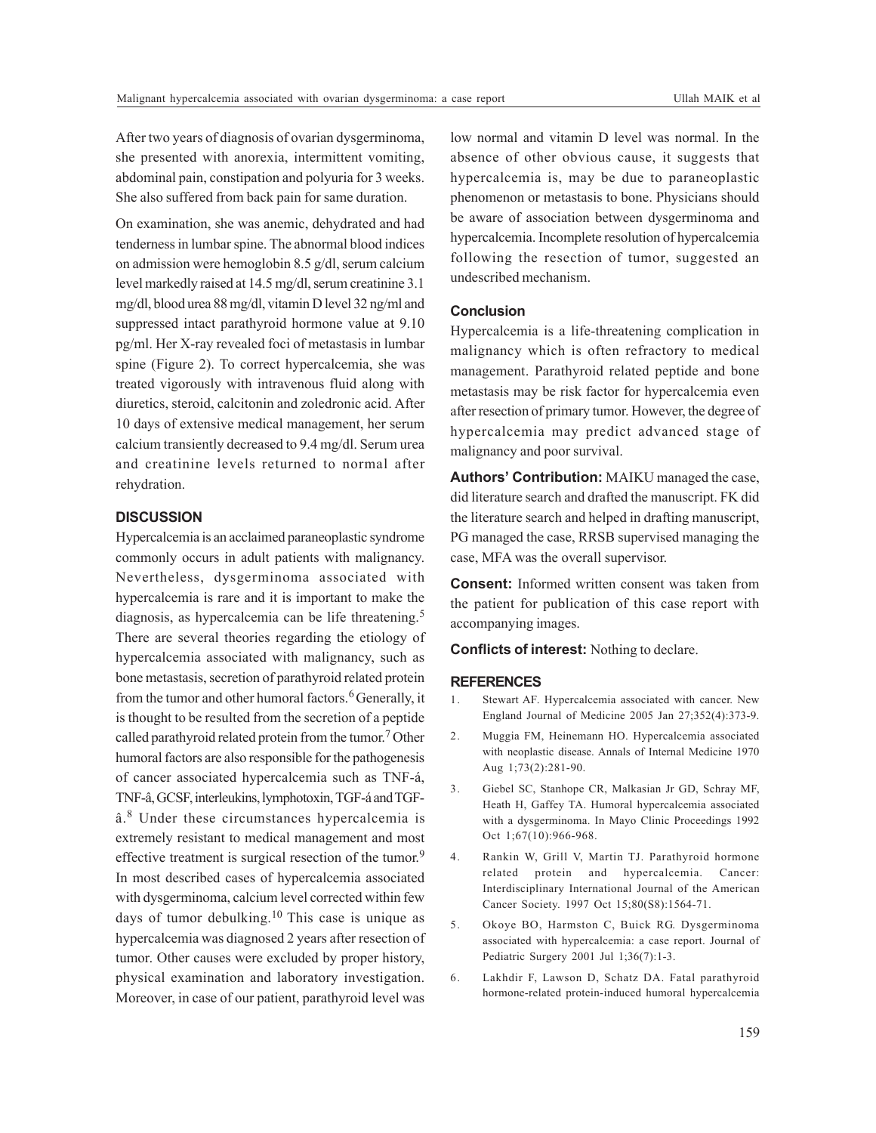After two years of diagnosis of ovarian dysgerminoma, she presented with anorexia, intermittent vomiting, abdominal pain, constipation and polyuria for 3 weeks. She also suffered from back pain for same duration.

On examination, she was anemic, dehydrated and had tenderness in lumbar spine. The abnormal blood indices on admission were hemoglobin 8.5 g/dl, serum calcium level markedly raised at 14.5 mg/dl, serum creatinine 3.1 mg/dl, blood urea 88 mg/dl, vitamin D level 32 ng/ml and suppressed intact parathyroid hormone value at 9.10 pg/ml. Her X-ray revealed foci of metastasis in lumbar spine (Figure 2). To correct hypercalcemia, she was treated vigorously with intravenous fluid along with diuretics, steroid, calcitonin and zoledronic acid. After 10 days of extensive medical management, her serum calcium transiently decreased to 9.4 mg/dl. Serum urea and creatinine levels returned to normal after rehydration.

#### **DISCUSSION**

Hypercalcemia is an acclaimed paraneoplastic syndrome commonly occurs in adult patients with malignancy. Nevertheless, dysgerminoma associated with hypercalcemia is rare and it is important to make the diagnosis, as hypercalcemia can be life threatening.<sup>5</sup> There are several theories regarding the etiology of hypercalcemia associated with malignancy, such as bone metastasis, secretion of parathyroid related protein from the tumor and other humoral factors.<sup>6</sup> Generally, it is thought to be resulted from the secretion of a peptide called parathyroid related protein from the tumor.<sup>7</sup> Other humoral factors are also responsible for the pathogenesis of cancer associated hypercalcemia such as TNF-á, TNF-â, GCSF, interleukins, lymphotoxin, TGF-á and TGFâ.<sup>8</sup> Under these circumstances hypercalcemia is extremely resistant to medical management and most effective treatment is surgical resection of the tumor.<sup>9</sup> In most described cases of hypercalcemia associated with dysgerminoma, calcium level corrected within few days of tumor debulking.<sup>10</sup> This case is unique as hypercalcemia was diagnosed 2 years after resection of tumor. Other causes were excluded by proper history, physical examination and laboratory investigation. Moreover, in case of our patient, parathyroid level was

low normal and vitamin D level was normal. In the absence of other obvious cause, it suggests that hypercalcemia is, may be due to paraneoplastic phenomenon or metastasis to bone. Physicians should be aware of association between dysgerminoma and hypercalcemia. Incomplete resolution of hypercalcemia following the resection of tumor, suggested an undescribed mechanism.

#### **Conclusion**

Hypercalcemia is a life-threatening complication in malignancy which is often refractory to medical management. Parathyroid related peptide and bone metastasis may be risk factor for hypercalcemia even after resection of primary tumor. However, the degree of hypercalcemia may predict advanced stage of malignancy and poor survival.

**Authors' Contribution:** MAIKU managed the case, did literature search and drafted the manuscript. FK did the literature search and helped in drafting manuscript, PG managed the case, RRSB supervised managing the case, MFA was the overall supervisor.

**Consent:** Informed written consent was taken from the patient for publication of this case report with accompanying images.

**Conflicts of interest:** Nothing to declare.

#### **REFERENCES**

- 1. Stewart AF. Hypercalcemia associated with cancer. New England Journal of Medicine 2005 Jan 27;352(4):373-9.
- 2. Muggia FM, Heinemann HO. Hypercalcemia associated with neoplastic disease. Annals of Internal Medicine 1970 Aug 1;73(2):281-90.
- 3. Giebel SC, Stanhope CR, Malkasian Jr GD, Schray MF, Heath H, Gaffey TA. Humoral hypercalcemia associated with a dysgerminoma. In Mayo Clinic Proceedings 1992 Oct 1;67(10):966-968.
- 4. Rankin W, Grill V, Martin TJ. Parathyroid hormone related protein and hypercalcemia. Cancer: Interdisciplinary International Journal of the American Cancer Society. 1997 Oct 15;80(S8):1564-71.
- 5. Okoye BO, Harmston C, Buick RG. Dysgerminoma associated with hypercalcemia: a case report. Journal of Pediatric Surgery 2001 Jul 1;36(7):1-3.
- 6. Lakhdir F, Lawson D, Schatz DA. Fatal parathyroid hormone-related protein-induced humoral hypercalcemia